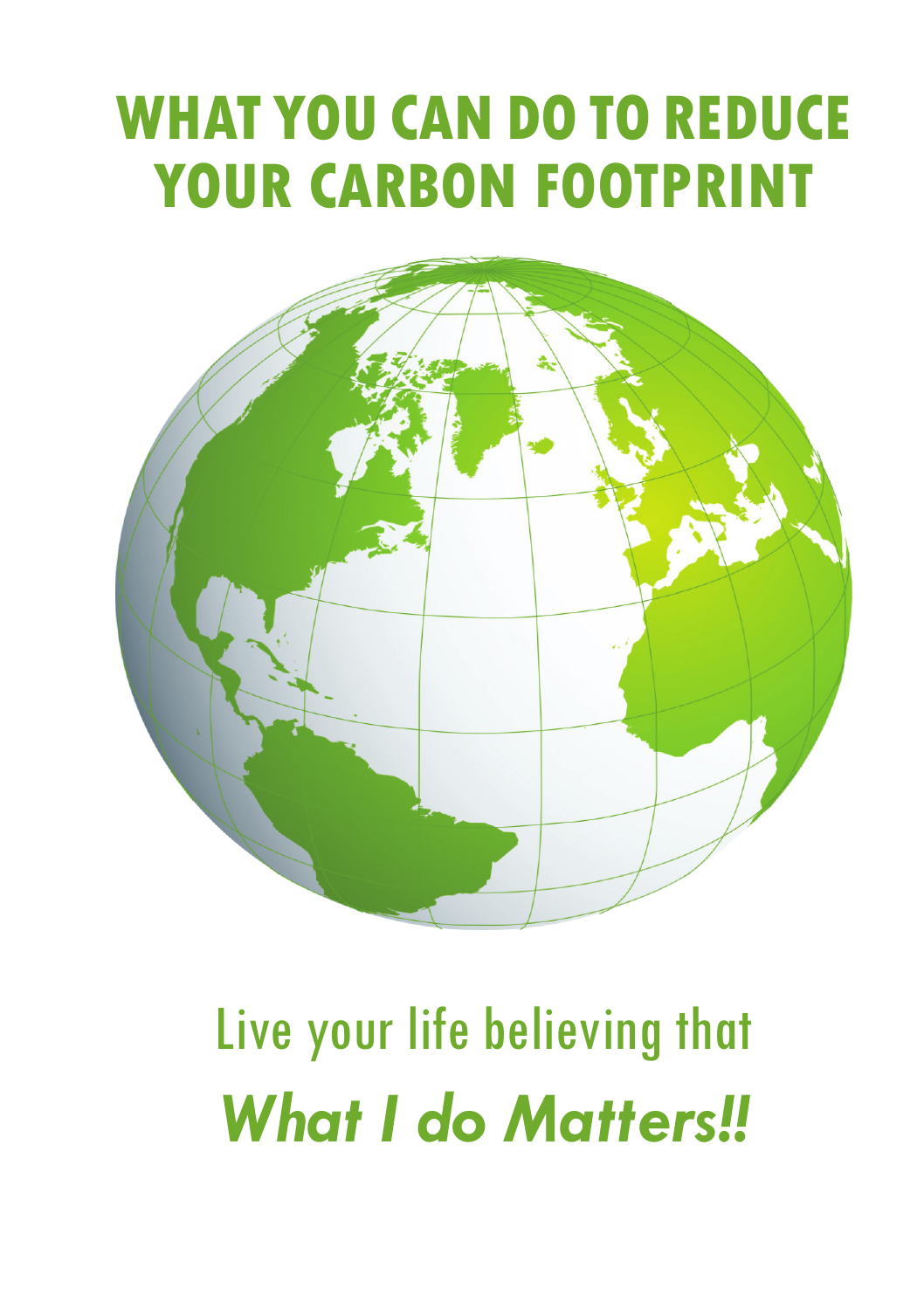### **WHAT YOU CAN DO TO REDUCE YOUR CARBON FOOTPRINT**



# Live your life believing that *What I do Matters!!*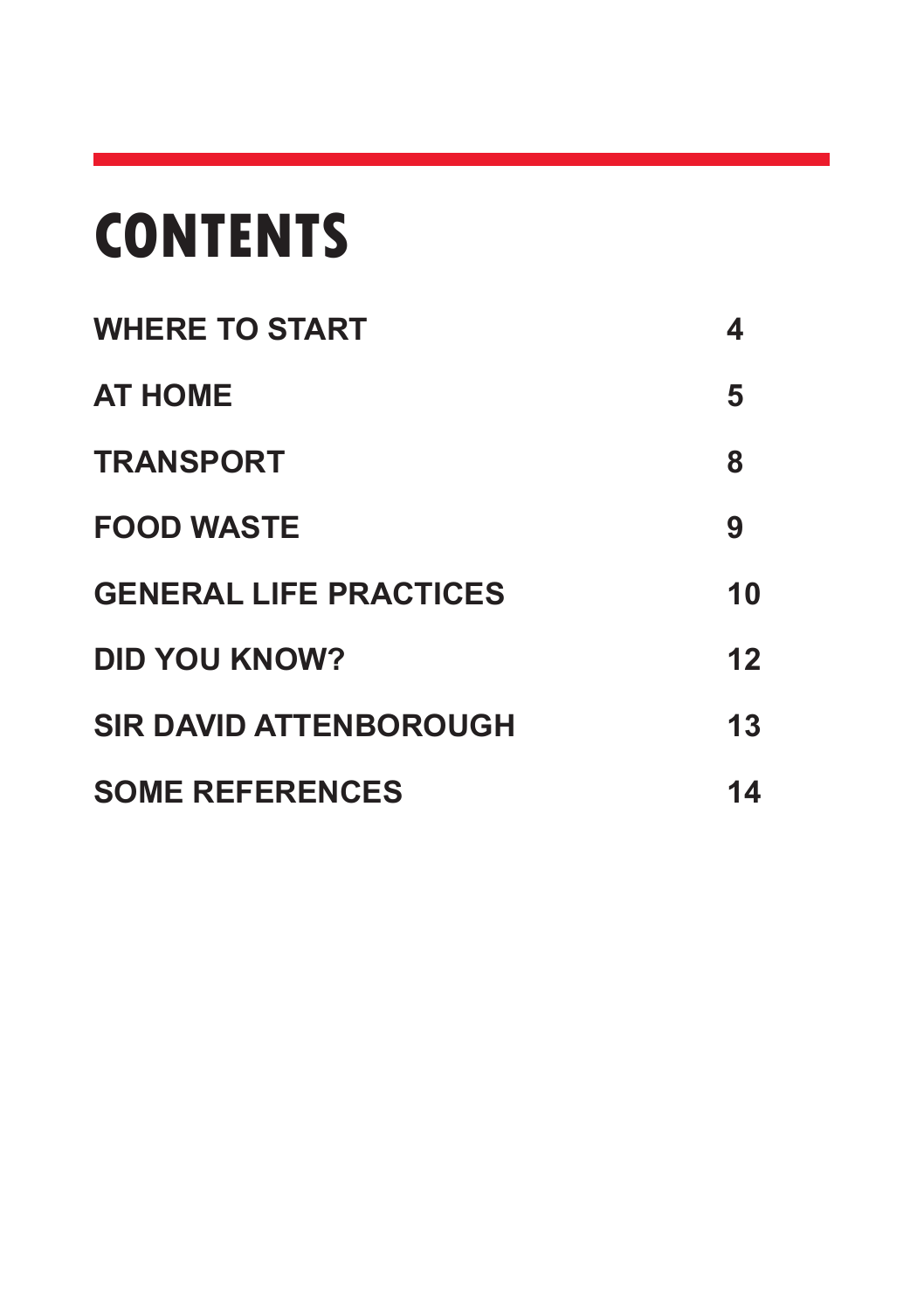## **CONTENTS**

| <b>WHERE TO START</b>         | 4  |
|-------------------------------|----|
| <b>AT HOME</b>                | 5  |
| <b>TRANSPORT</b>              | 8  |
| <b>FOOD WASTE</b>             | 9  |
| <b>GENERAL LIFE PRACTICES</b> | 10 |
| <b>DID YOU KNOW?</b>          | 12 |
| <b>SIR DAVID ATTENBOROUGH</b> | 13 |
| <b>SOME REFERENCES</b>        | 14 |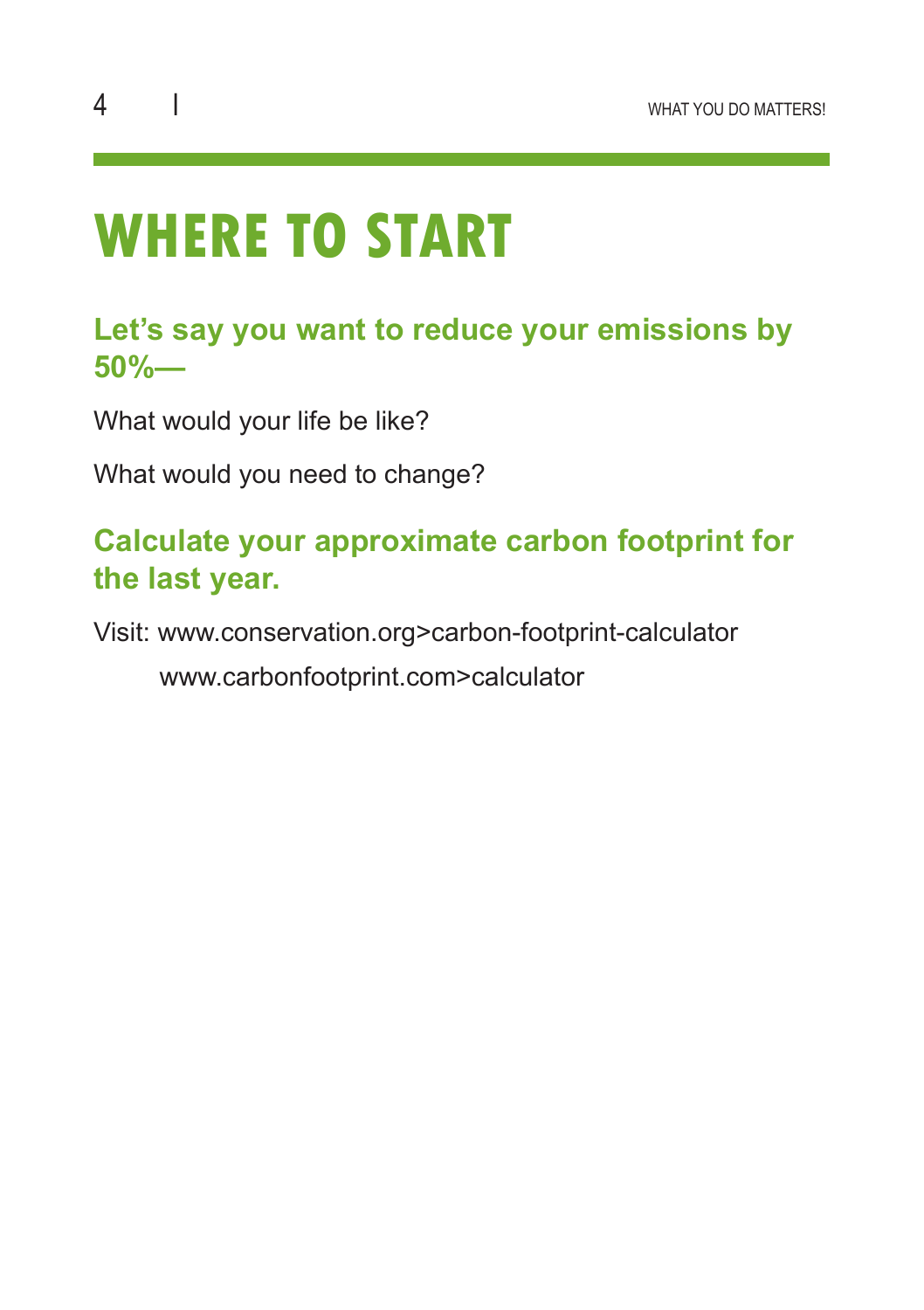### **WHERE TO START**

#### **Let's say you want to reduce your emissions by 50%—**

What would your life be like?

What would you need to change?

#### **Calculate your approximate carbon footprint for the last year.**

Visit: www.conservation.org>carbon-footprint-calculator

www.carbonfootprint.com>calculator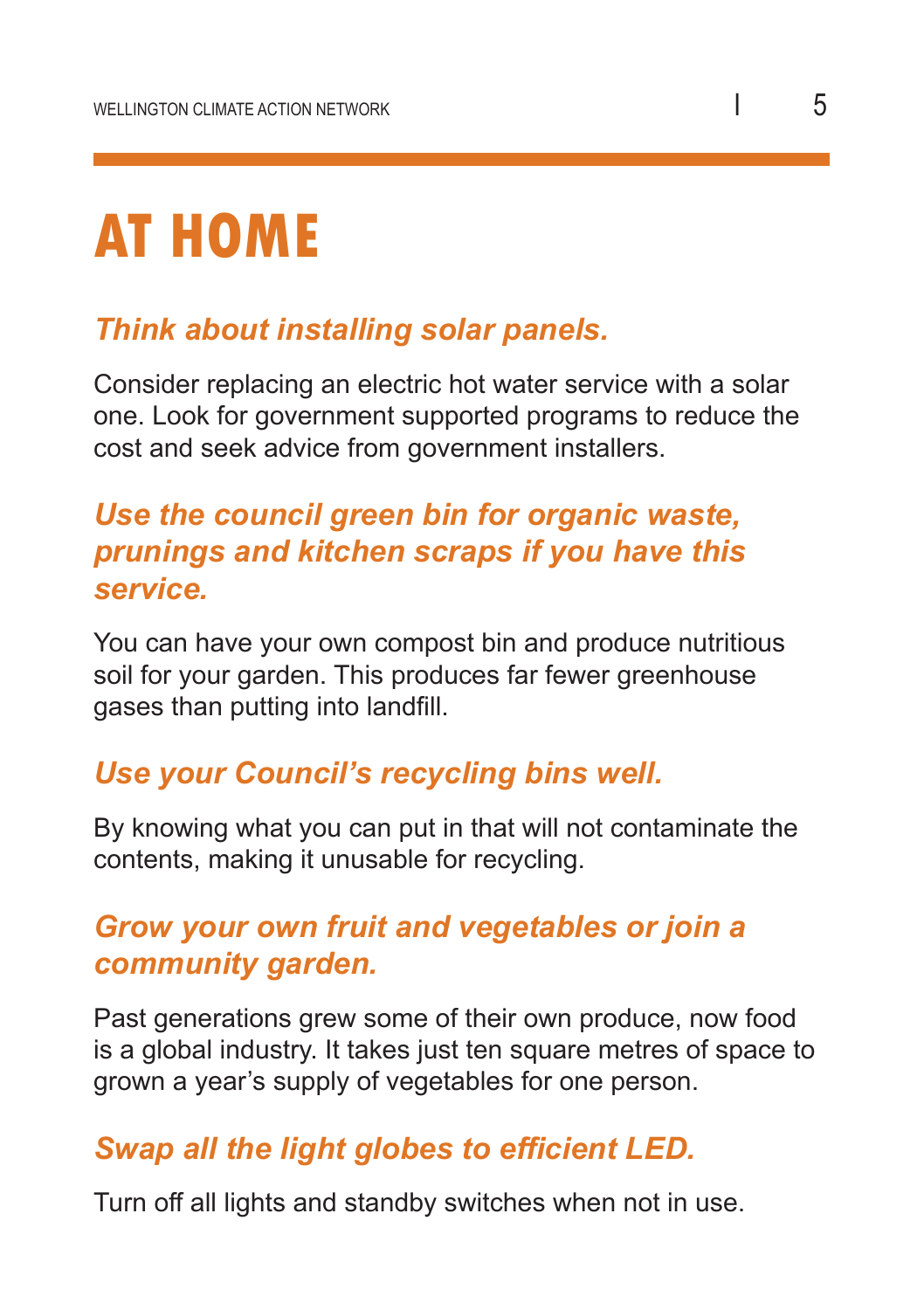## **AT HOME**

#### *Think about installing solar panels.*

Consider replacing an electric hot water service with a solar one. Look for government supported programs to reduce the cost and seek advice from government installers.

#### *Use the council green bin for organic waste, prunings and kitchen scraps if you have this service.*

You can have your own compost bin and produce nutritious soil for your garden. This produces far fewer greenhouse gases than putting into landfill.

#### *Use your Council's recycling bins well.*

By knowing what you can put in that will not contaminate the contents, making it unusable for recycling.

#### *Grow your own fruit and vegetables or join a community garden.*

Past generations grew some of their own produce, now food is a global industry. It takes just ten square metres of space to grown a year's supply of vegetables for one person.

#### *Swap all the light globes to efficient LED.*

Turn off all lights and standby switches when not in use.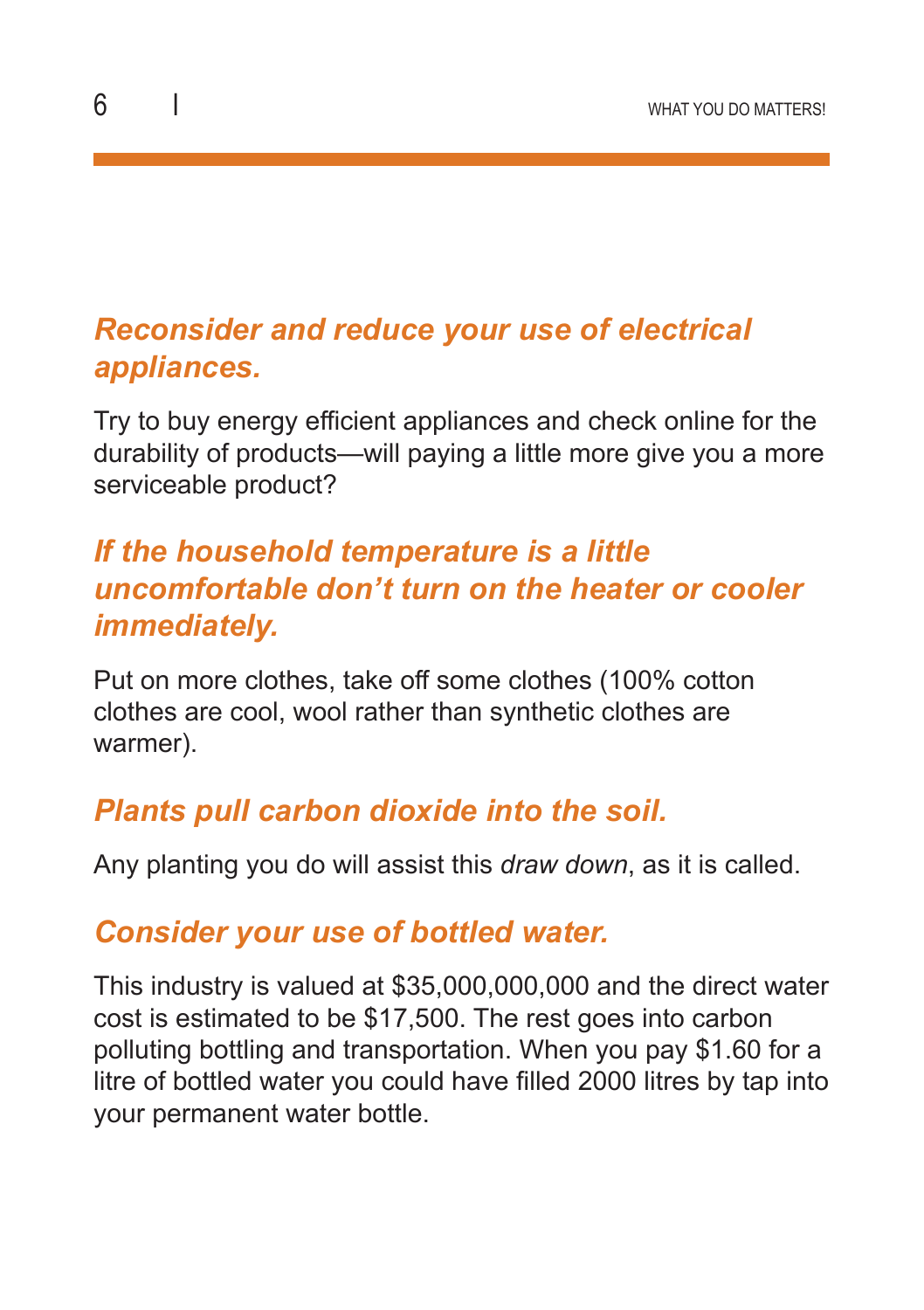#### *Reconsider and reduce your use of electrical appliances.*

Try to buy energy efficient appliances and check online for the durability of products—will paying a little more give you a more serviceable product?

#### *If the household temperature is a little uncomfortable don't turn on the heater or cooler immediately.*

Put on more clothes, take off some clothes (100% cotton clothes are cool, wool rather than synthetic clothes are warmer).

#### *Plants pull carbon dioxide into the soil.*

Any planting you do will assist this *draw down*, as it is called.

#### *Consider your use of bottled water.*

This industry is valued at \$35,000,000,000 and the direct water cost is estimated to be \$17,500. The rest goes into carbon polluting bottling and transportation. When you pay \$1.60 for a litre of bottled water you could have filled 2000 litres by tap into your permanent water bottle.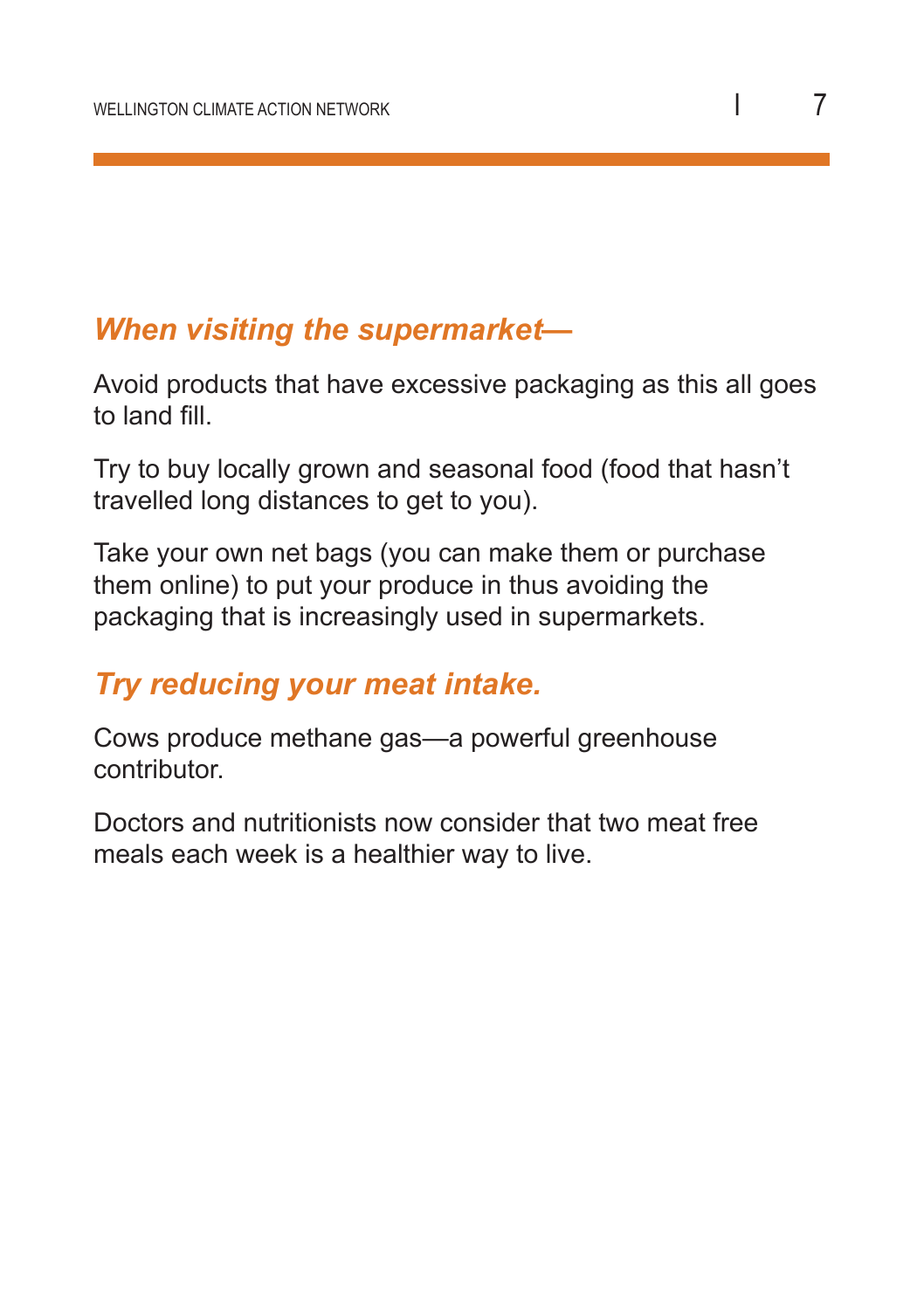#### *When visiting the supermarket—*

Avoid products that have excessive packaging as this all goes to land fill.

Try to buy locally grown and seasonal food (food that hasn't travelled long distances to get to you).

Take your own net bags (you can make them or purchase them online) to put your produce in thus avoiding the packaging that is increasingly used in supermarkets.

#### *Try reducing your meat intake.*

Cows produce methane gas—a powerful greenhouse contributor.

Doctors and nutritionists now consider that two meat free meals each week is a healthier way to live.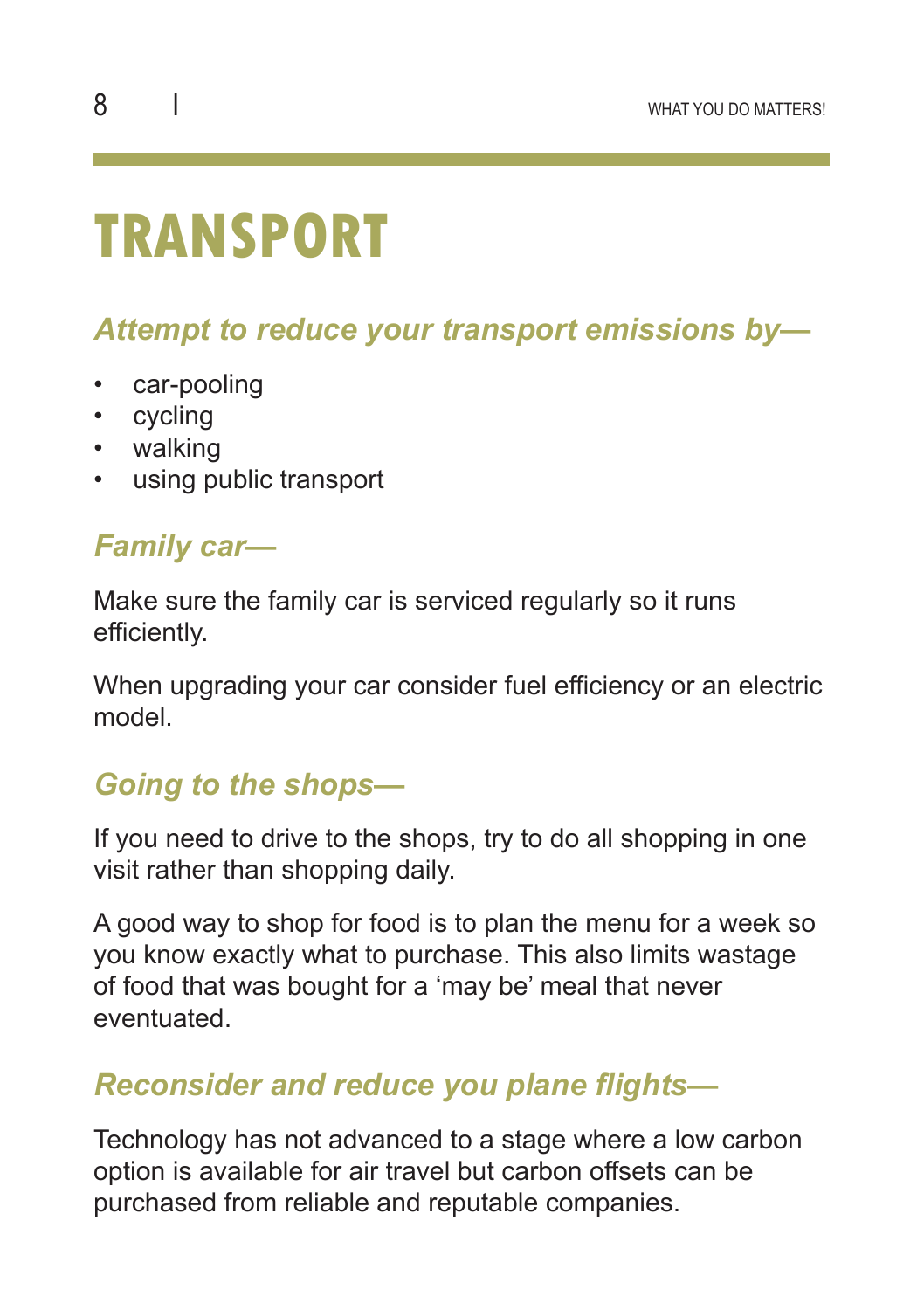### **TRANSPORT**

#### *Attempt to reduce your transport emissions by—*

- car-pooling
- cycling
- walking
- using public transport

#### *Family car—*

Make sure the family car is serviced regularly so it runs efficiently.

When upgrading your car consider fuel efficiency or an electric model.

#### *Going to the shops—*

If you need to drive to the shops, try to do all shopping in one visit rather than shopping daily.

A good way to shop for food is to plan the menu for a week so you know exactly what to purchase. This also limits wastage of food that was bought for a 'may be' meal that never eventuated.

#### *Reconsider and reduce you plane flights—*

Technology has not advanced to a stage where a low carbon option is available for air travel but carbon offsets can be purchased from reliable and reputable companies.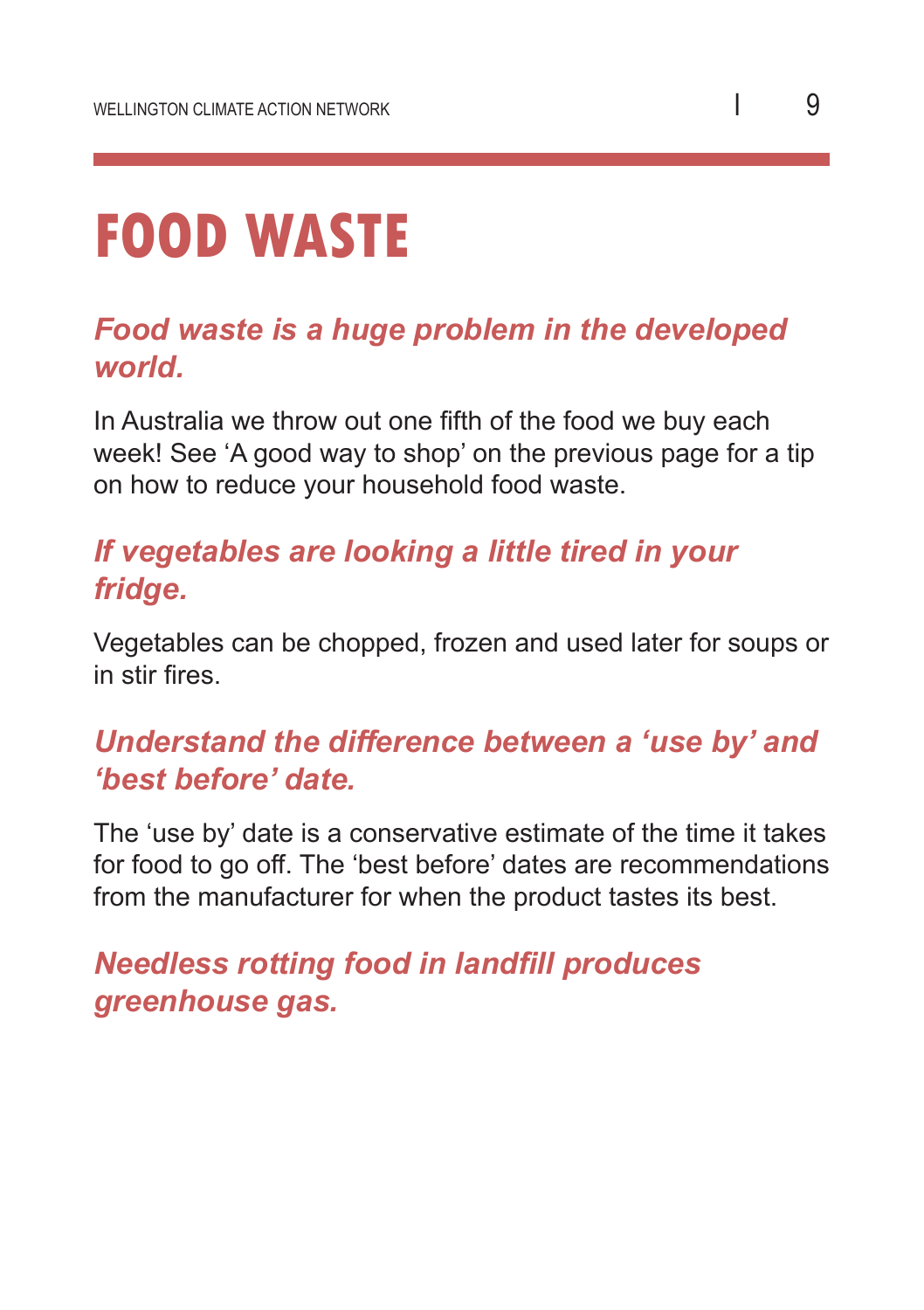### **FOOD WASTE**

#### *Food waste is a huge problem in the developed world.*

In Australia we throw out one fifth of the food we buy each week! See 'A good way to shop' on the previous page for a tip on how to reduce your household food waste.

#### *If vegetables are looking a little tired in your fridge.*

Vegetables can be chopped, frozen and used later for soups or in stir fires.

#### *Understand the difference between a 'use by' and 'best before' date.*

The 'use by' date is a conservative estimate of the time it takes for food to go off. The 'best before' dates are recommendations from the manufacturer for when the product tastes its best.

*Needless rotting food in landfill produces greenhouse gas.*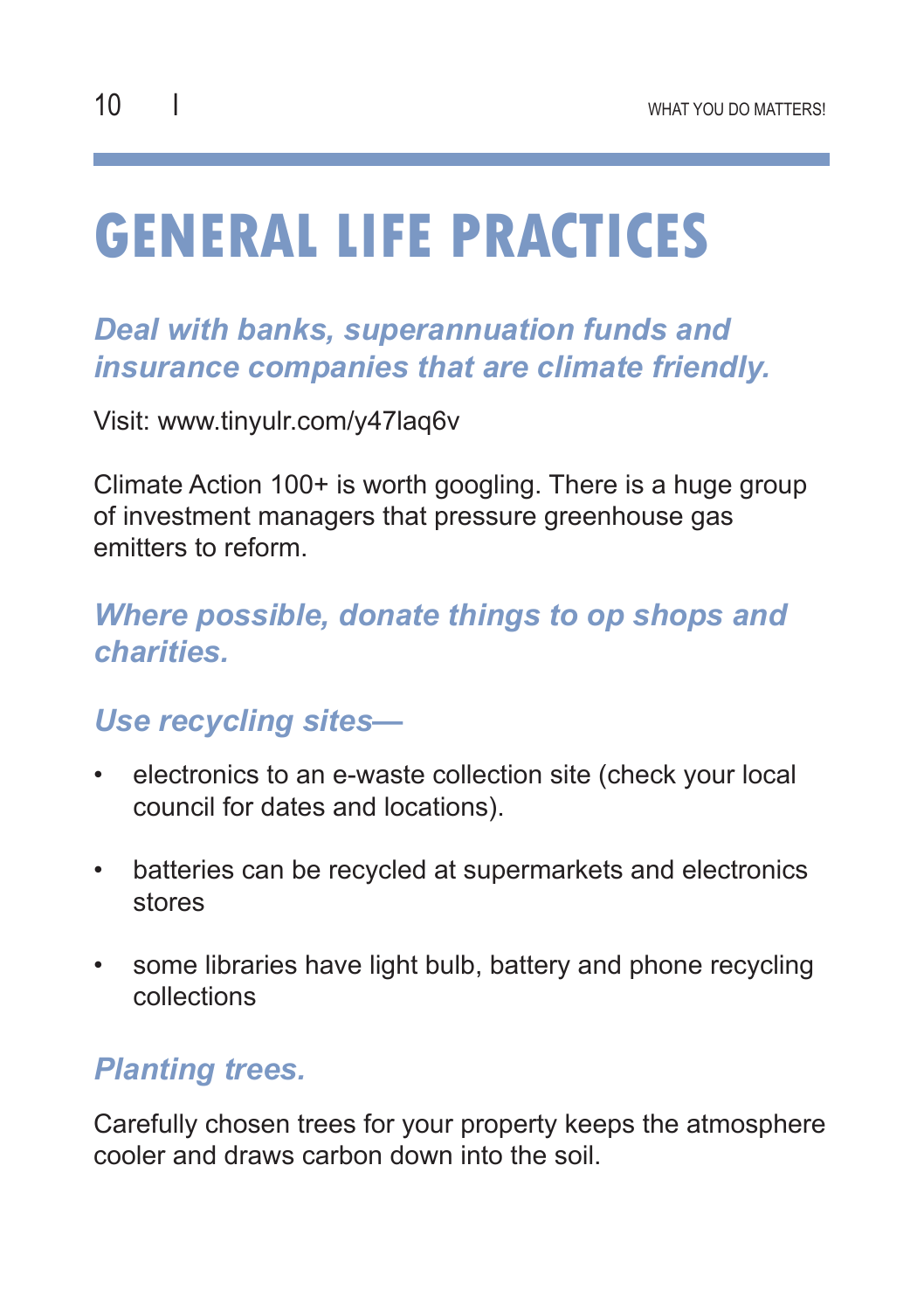## **GENERAL LIFE PRACTICES**

#### *Deal with banks, superannuation funds and insurance companies that are climate friendly.*

Visit: www.tinyulr.com/y47laq6v

Climate Action 100+ is worth googling. There is a huge group of investment managers that pressure greenhouse gas emitters to reform.

#### *Where possible, donate things to op shops and charities.*

#### *Use recycling sites—*

- electronics to an e-waste collection site (check your local council for dates and locations).
- batteries can be recycled at supermarkets and electronics stores
- some libraries have light bulb, battery and phone recycling collections

#### *Planting trees.*

Carefully chosen trees for your property keeps the atmosphere cooler and draws carbon down into the soil.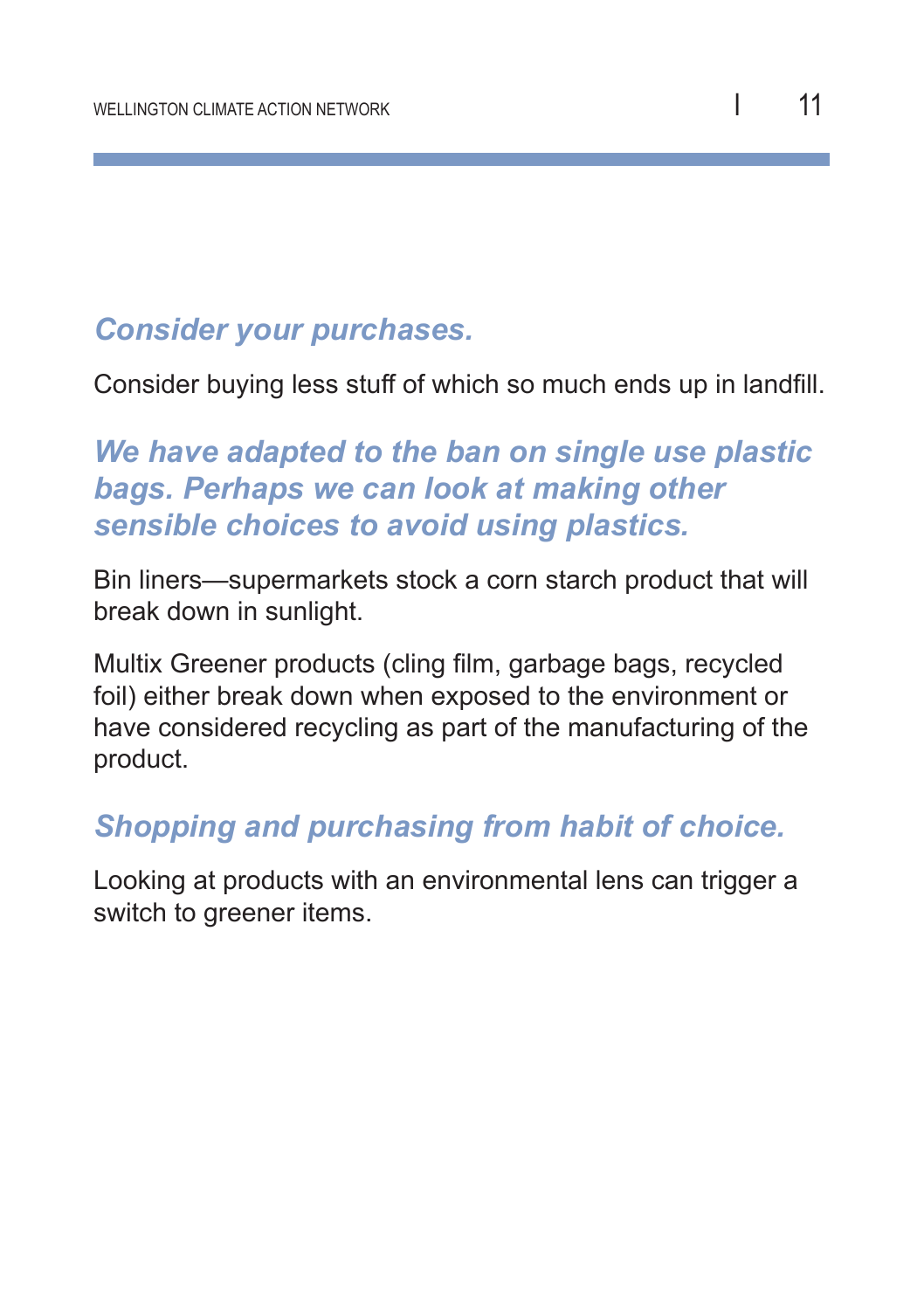#### *Consider your purchases.*

Consider buying less stuff of which so much ends up in landfill.

#### *We have adapted to the ban on single use plastic bags. Perhaps we can look at making other sensible choices to avoid using plastics.*

Bin liners—supermarkets stock a corn starch product that will break down in sunlight.

Multix Greener products (cling film, garbage bags, recycled foil) either break down when exposed to the environment or have considered recycling as part of the manufacturing of the product.

#### *Shopping and purchasing from habit of choice.*

Looking at products with an environmental lens can trigger a switch to greener items.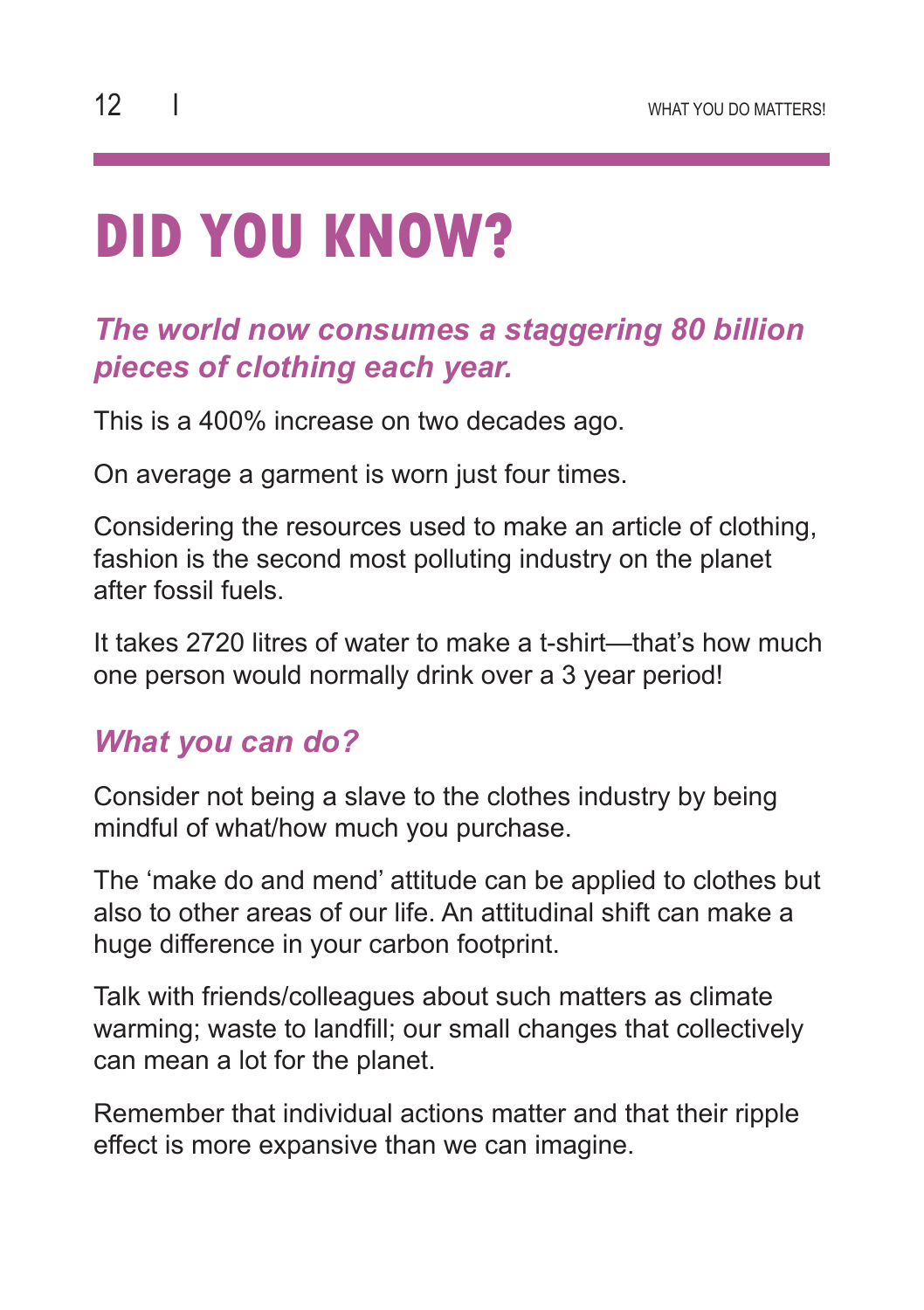# **DID YOU KNOW?**

#### *The world now consumes a staggering 80 billion pieces of clothing each year.*

This is a 400% increase on two decades ago.

On average a garment is worn just four times.

Considering the resources used to make an article of clothing, fashion is the second most polluting industry on the planet after fossil fuels.

It takes 2720 litres of water to make a t-shirt—that's how much one person would normally drink over a 3 year period!

#### *What you can do?*

Consider not being a slave to the clothes industry by being mindful of what/how much you purchase.

The 'make do and mend' attitude can be applied to clothes but also to other areas of our life. An attitudinal shift can make a huge difference in your carbon footprint.

Talk with friends/colleagues about such matters as climate warming; waste to landfill; our small changes that collectively can mean a lot for the planet.

Remember that individual actions matter and that their ripple effect is more expansive than we can imagine.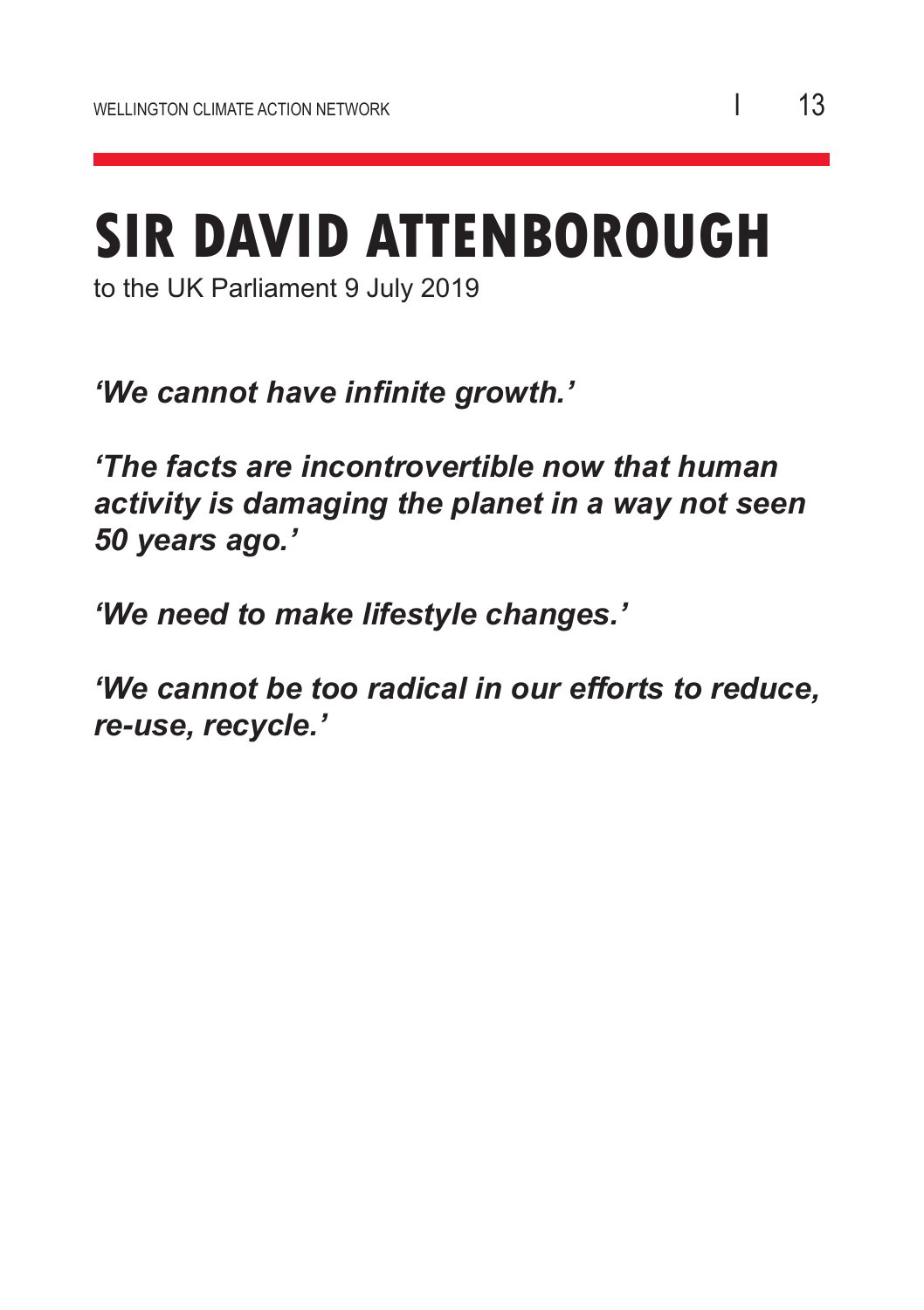## **SIR DAVID ATTENBOROUGH**

to the UK Parliament 9 July 2019

*'We cannot have infinite growth.'*

*'The facts are incontrovertible now that human activity is damaging the planet in a way not seen 50 years ago.'*

*'We need to make lifestyle changes.'*

*'We cannot be too radical in our efforts to reduce, re-use, recycle.'*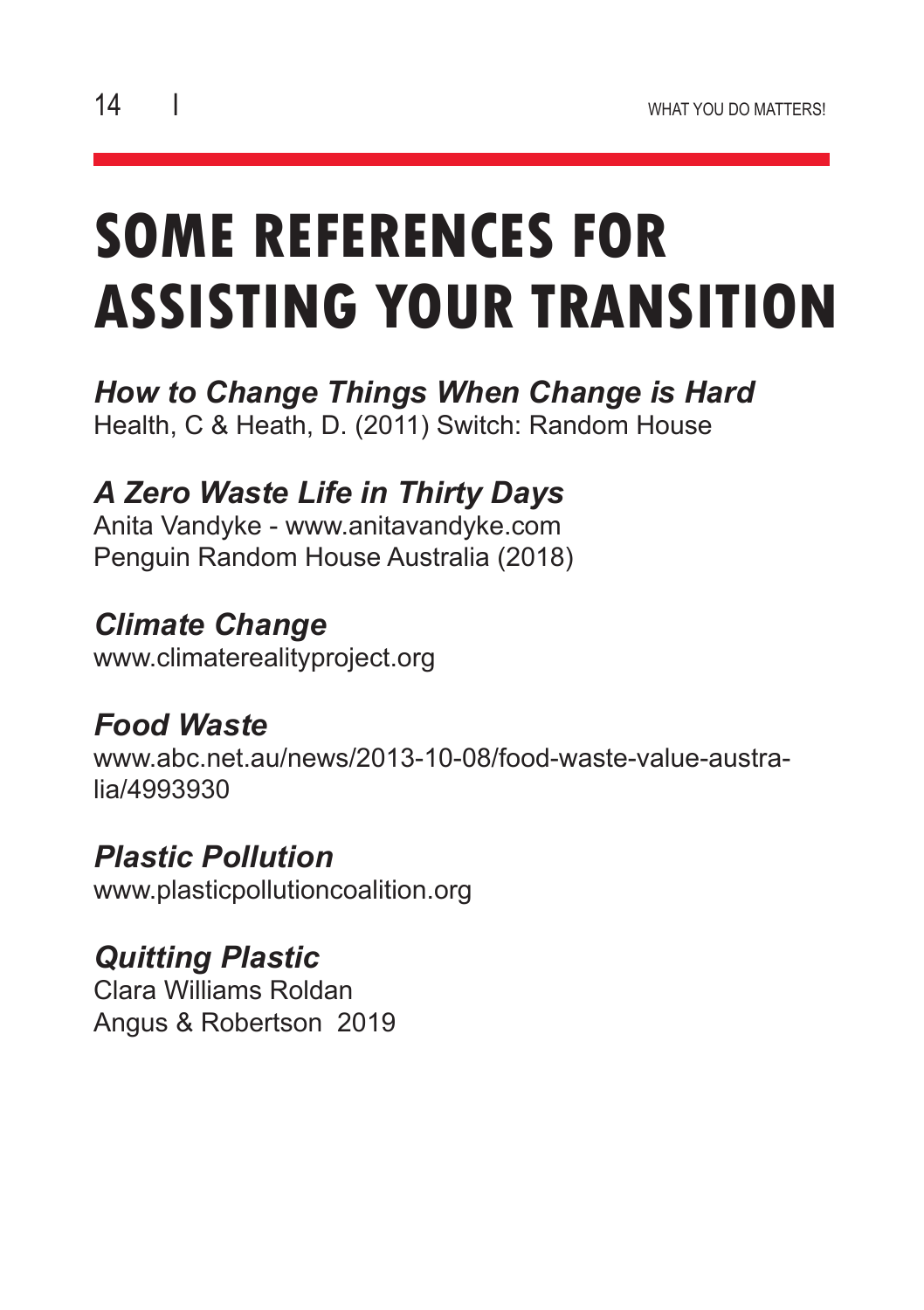## **SOME REFERENCES FOR ASSISTING YOUR TRANSITION**

*How to Change Things When Change is Hard* Health, C & Heath, D. (2011) Switch: Random House

*A Zero Waste Life in Thirty Days*

Anita Vandyke - www.anitavandyke.com Penguin Random House Australia (2018)

*Climate Change* www.climaterealityproject.org

*Food Waste* www.abc.net.au/news/2013-10-08/food-waste-value-australia/4993930

*Plastic Pollution* www.plasticpollutioncoalition.org

*Quitting Plastic* Clara Williams Roldan Angus & Robertson 2019